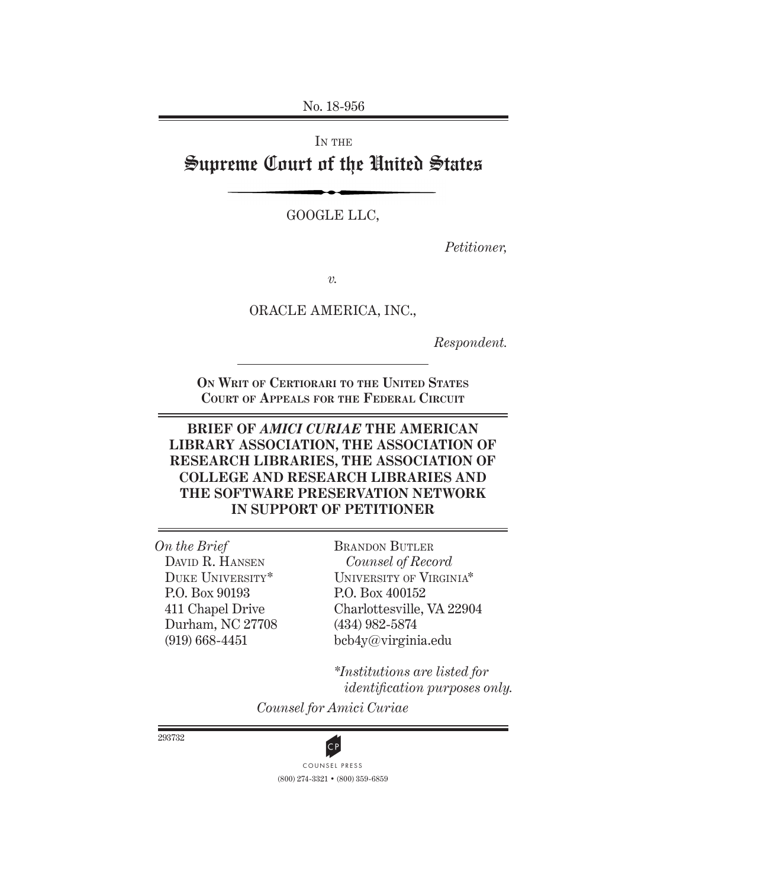No. 18-956

IN THE Supreme Court of the United States

GOOGLE LLC,

*Petitioner,*

*v.*

ORACLE AMERICA, INC.,

*Respondent.*

**On Writ of Certiorari to the United States Court of Appeals for the Federal Circuit**

## **BRIEF OF** *AMICI CURIAE* **THE AMERICAN LIBRARY ASSOCIATION, THE ASSOCIATION OF RESEARCH LIBRARIES, THE ASSOCIATION OF COLLEGE AND RESEARCH LIBRARIES AND THE SOFTWARE PRESERVATION NETWORK IN SUPPORT OF PETITIONER**

*On the Brief* David R. Hansen Duke University\* P.O. Box 90193 411 Chapel Drive Durham, NC 27708 (919) 668-4451

Brandon Butler *Counsel of Record* University of Virginia\* P.O. Box 400152 Charlottesville, VA 22904 (434) 982-5874 bcb4y@virginia.edu

*\*Institutions are listed for identification purposes only.*

*Counsel for Amici Curiae*

293732



(800) 274-3321 • (800) 359-6859 **CP**<br>COUNSEL PRESS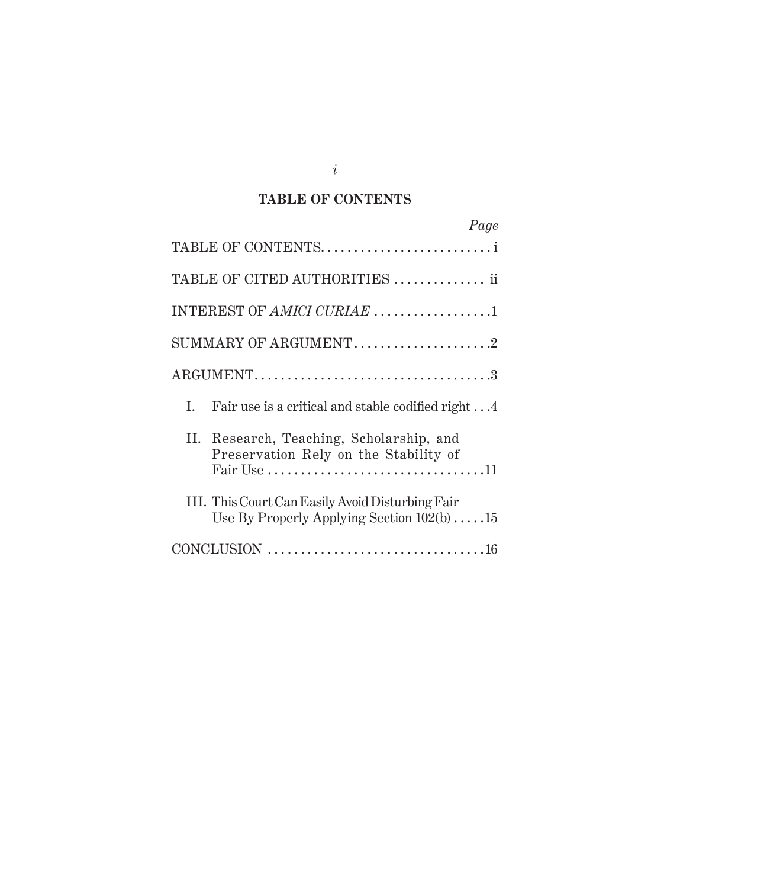# **TABLE OF CONTENTS**

| Page                                                                                                    |
|---------------------------------------------------------------------------------------------------------|
| TABLE OF CONTENTS                                                                                       |
| TABLE OF CITED AUTHORITIES  ii                                                                          |
| INTEREST OF AMICI CURIAE 1                                                                              |
| SUMMARY OF ARGUMENT2                                                                                    |
|                                                                                                         |
| I.<br>Fair use is a critical and stable codified right 4                                                |
| II. Research, Teaching, Scholarship, and<br>Preservation Rely on the Stability of                       |
| III. This Court Can Easily Avoid Disturbing Fair<br>Use By Properly Applying Section $102(b) \ldots 15$ |
|                                                                                                         |

*i*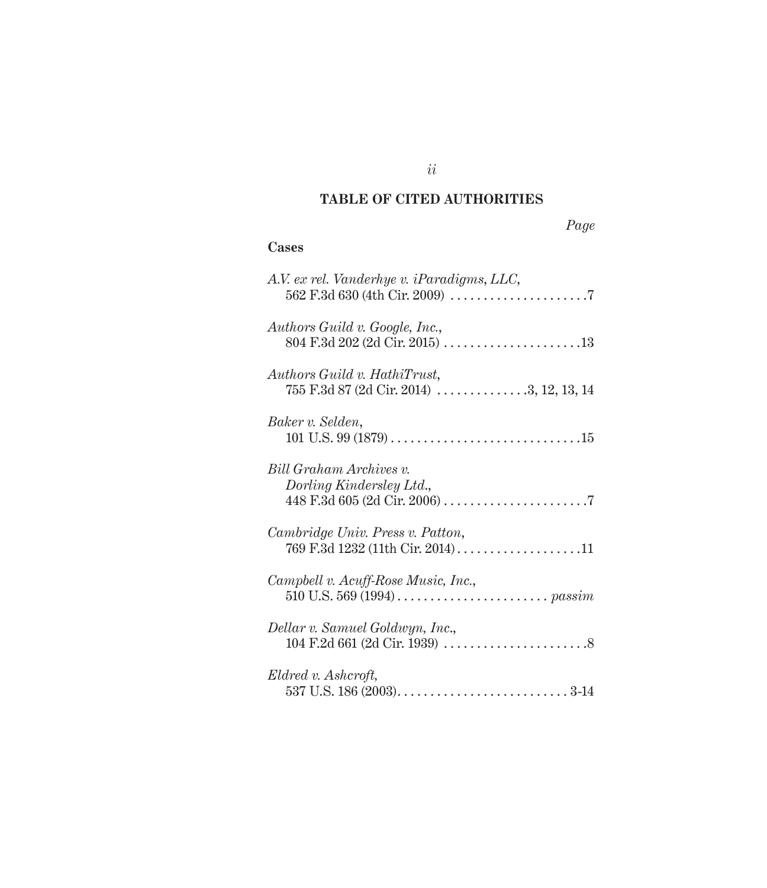# **TABLE OF CITED AUTHORITIES**

# **Cases**

| A.V. ex rel. Vanderhye v. iParadigms, LLC,                                                                                                |
|-------------------------------------------------------------------------------------------------------------------------------------------|
| Authors Guild v. Google, Inc.,<br>$804 \text{ F.}3d 202 \text{ (2d Cir. } 2015) \dots \dots \dots \dots \dots \dots \dots \dots \dots 13$ |
| Authors Guild v. HathiTrust,<br>755 F.3d 87 (2d Cir. 2014) 3, 12, 13, 14                                                                  |
| Baker v. Selden,                                                                                                                          |
| Bill Graham Archives v.<br>Dorling Kindersley Ltd.,                                                                                       |
| Cambridge Univ. Press v. Patton,<br>769 F.3d 1232 (11th Cir. 2014)11                                                                      |
| Campbell v. Acuff-Rose Music, Inc.,                                                                                                       |
| Dellar v. Samuel Goldwyn, Inc.,                                                                                                           |
| Eldred v. Ashcroft,                                                                                                                       |

*ii*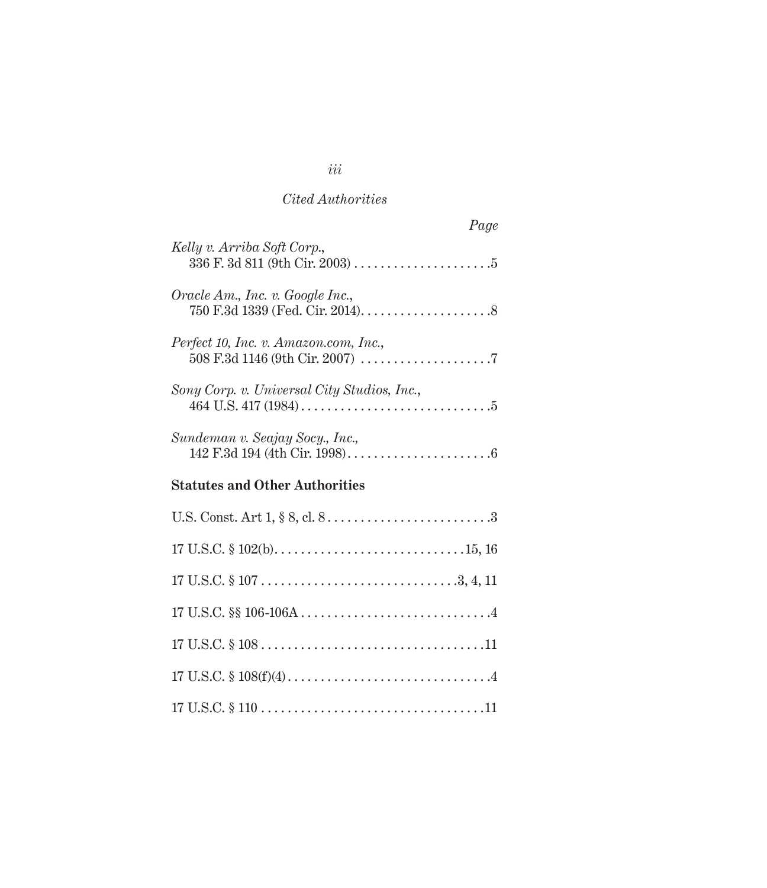| Page                                        |
|---------------------------------------------|
| Kelly v. Arriba Soft Corp.,                 |
| Oracle Am., Inc. v. Google Inc.,            |
| Perfect 10, Inc. v. Amazon.com, Inc.,       |
| Sony Corp. v. Universal City Studios, Inc., |
| Sundeman v. Seajay Socy., Inc.,             |
| <b>Statutes and Other Authorities</b>       |
|                                             |
|                                             |
|                                             |
|                                             |

17 U.S.C. § 108 . . . . . . . . . . . . . . . . . . . . . . . . . . . . . . . . . .11

17 U.S.C. § 108(f)(4) . 4

17 U.S.C. § 110 . 11

*iii*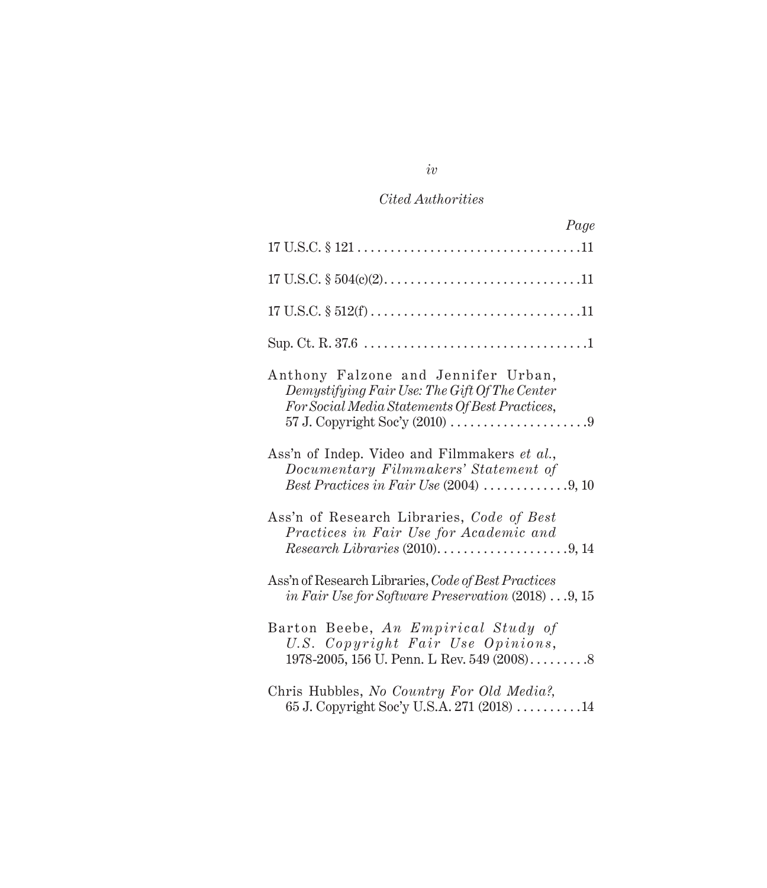| Page                                                                                                                                                                        |
|-----------------------------------------------------------------------------------------------------------------------------------------------------------------------------|
|                                                                                                                                                                             |
|                                                                                                                                                                             |
|                                                                                                                                                                             |
|                                                                                                                                                                             |
| Anthony Falzone and Jennifer Urban,<br>Demystifying Fair Use: The Gift Of The Center<br>For Social Media Statements Of Best Practices,                                      |
| Ass'n of Indep. Video and Filmmakers et al.,<br>Documentary Filmmakers' Statement of                                                                                        |
| Ass'n of Research Libraries, Code of Best<br>Practices in Fair Use for Academic and<br>$Research Libraries (2010).$ $\dots \dots \dots \dots \dots \dots \dots \dots \dots$ |
| Ass'n of Research Libraries, Code of Best Practices<br>in Fair Use for Software Preservation $(2018) \ldots 9, 15$                                                          |
| Barton Beebe, An Empirical Study of<br>U.S. Copyright Fair Use Opinions,                                                                                                    |
| Chris Hubbles, No Country For Old Media?,<br>65 J. Copyright Soc'y U.S.A. 271 (2018) 14                                                                                     |

*iv*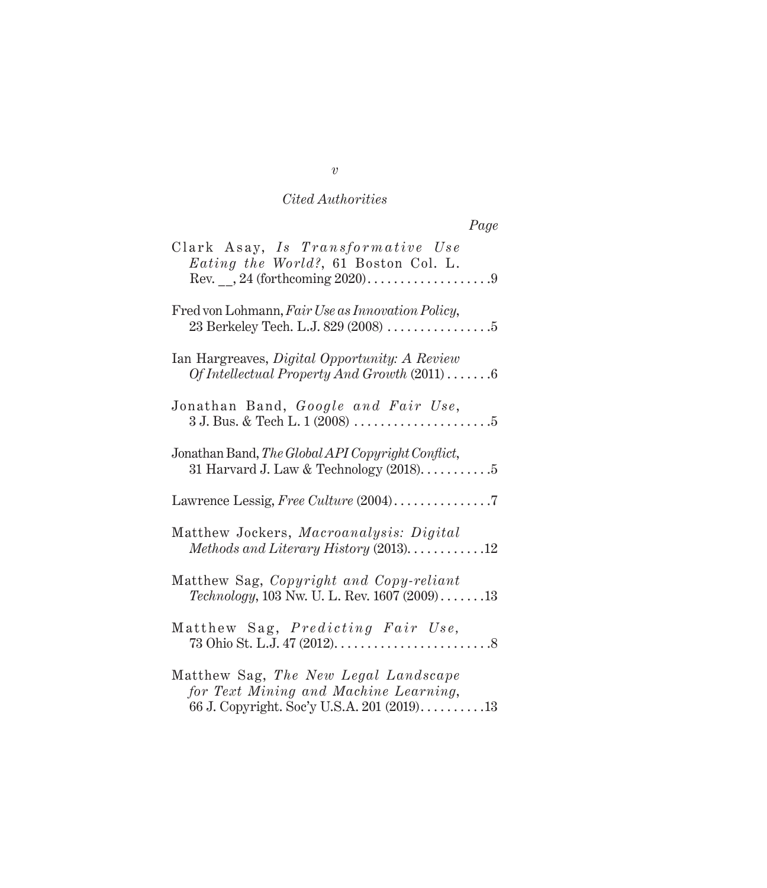| Page                                                                                                                        |
|-----------------------------------------------------------------------------------------------------------------------------|
| Clark Asay, Is Transformative Use<br>Eating the World?, 61 Boston Col. L.                                                   |
| Fred von Lohmann, Fair Use as Innovation Policy,                                                                            |
| Ian Hargreaves, Digital Opportunity: A Review<br>Of Intellectual Property And Growth $(2011)$ 6                             |
| Jonathan Band, Google and Fair Use,                                                                                         |
| Jonathan Band, The Global API Copyright Conflict,<br>31 Harvard J. Law & Technology $(2018)$ 5                              |
|                                                                                                                             |
| Matthew Jockers, Macroanalysis: Digital<br>$Methods$ and Literary History (2013)12                                          |
| Matthew Sag, Copyright and Copy-reliant<br><i>Technology</i> , 103 Nw. U. L. Rev. 1607 $(2009)$ 13                          |
| Matthew Sag, Predicting Fair Use,                                                                                           |
| Matthew Sag, The New Legal Landscape<br>for Text Mining and Machine Learning,<br>66 J. Copyright. Soc'y U.S.A. 201 (2019)13 |

*v*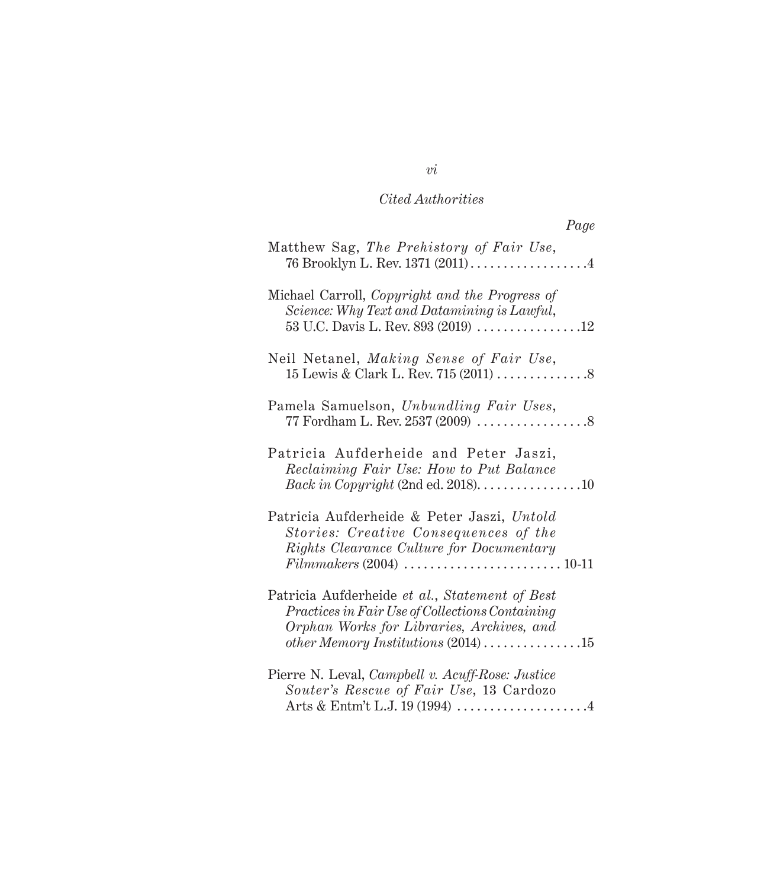| Page                                                                                                                                                                                                           |
|----------------------------------------------------------------------------------------------------------------------------------------------------------------------------------------------------------------|
| Matthew Sag, The Prehistory of Fair Use,<br>76 Brooklyn L. Rev. 1371 (2011) 4                                                                                                                                  |
| Michael Carroll, Copyright and the Progress of<br>Science: Why Text and Datamining is Lawful,<br>53 U.C. Davis L. Rev. 893 (2019) 12                                                                           |
| Neil Netanel, Making Sense of Fair Use,                                                                                                                                                                        |
| Pamela Samuelson, Unbundling Fair Uses,                                                                                                                                                                        |
| Patricia Aufderheide and Peter Jaszi,<br>Reclaiming Fair Use: How to Put Balance<br>Back in Copyright (2nd ed. 2018). $\dots \dots \dots \dots \dots 10$                                                       |
| Patricia Aufderheide & Peter Jaszi, Untold<br>Stories: Creative Consequences of the<br>Rights Clearance Culture for Documentary<br>$Film makers (2004) \ldots \ldots \ldots \ldots \ldots \ldots \ldots 10-11$ |
| Patricia Aufderheide et al., Statement of Best<br>Practices in Fair Use of Collections Containing<br>Orphan Works for Libraries, Archives, and<br>other Memory Institutions $(2014)$ 15                        |
| Pierre N. Leval, Campbell v. Acuff-Rose: Justice<br>Souter's Rescue of Fair Use, 13 Cardozo                                                                                                                    |

*vi*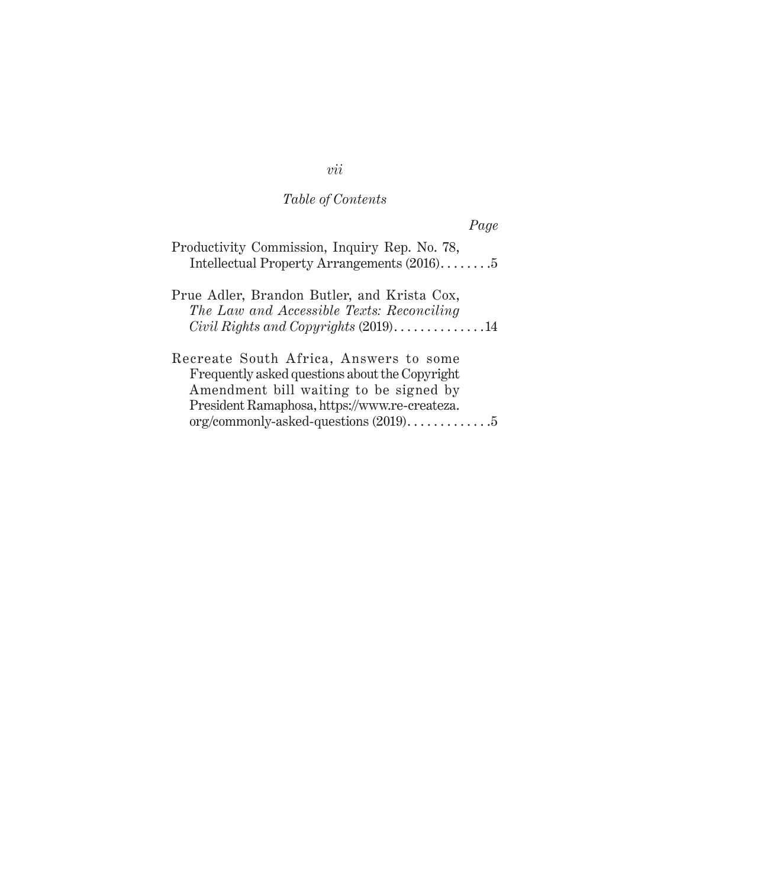### *Table of Contents*

*Page*

| Productivity Commission, Inquiry Rep. No. 78, |                                            |  |  |
|-----------------------------------------------|--------------------------------------------|--|--|
|                                               | Intellectual Property Arrangements (2016)5 |  |  |

Prue Adler, Brandon Butler, and Krista Cox, *The Law and Accessible Texts: Reconciling Civil Rights and Copyrights* (2019). . . . . . . . . . . . . . 14

Recreate South Africa, Answers to some Frequently asked questions about the Copyright Amendment bill waiting to be signed by President Ramaphosa, https://www.re-createza.  $org/commonly-asked-questions (2019) \ldots \ldots \ldots \ldots 5$ 

*vii*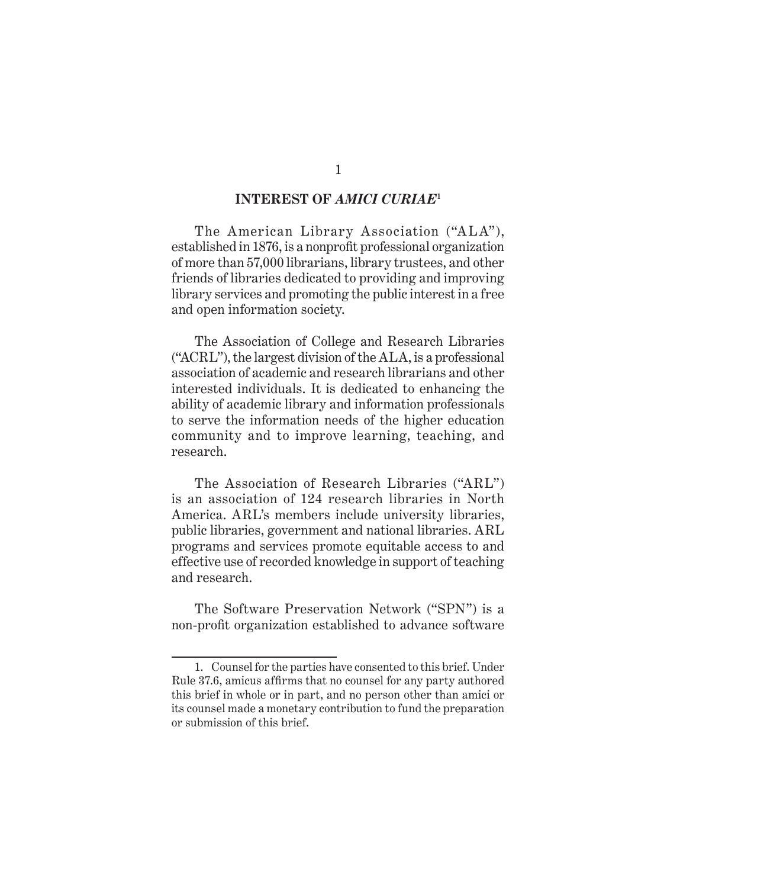### **INTEREST OF** *AMICI CURIAE***<sup>1</sup>**

The American Library Association ("ALA"), established in 1876, is a nonprofit professional organization of more than 57,000 librarians, library trustees, and other friends of libraries dedicated to providing and improving library services and promoting the public interest in a free and open information society.

The Association of College and Research Libraries ("ACRL"), the largest division of the ALA, is a professional association of academic and research librarians and other interested individuals. It is dedicated to enhancing the ability of academic library and information professionals to serve the information needs of the higher education community and to improve learning, teaching, and research.

The Association of Research Libraries ("ARL") is an association of 124 research libraries in North America. ARL's members include university libraries, public libraries, government and national libraries. ARL programs and services promote equitable access to and effective use of recorded knowledge in support of teaching and research.

The Software Preservation Network ("SPN") is a non-profit organization established to advance software

<sup>1.</sup> Counsel for the parties have consented to this brief. Under Rule 37.6, amicus affirms that no counsel for any party authored this brief in whole or in part, and no person other than amici or its counsel made a monetary contribution to fund the preparation or submission of this brief.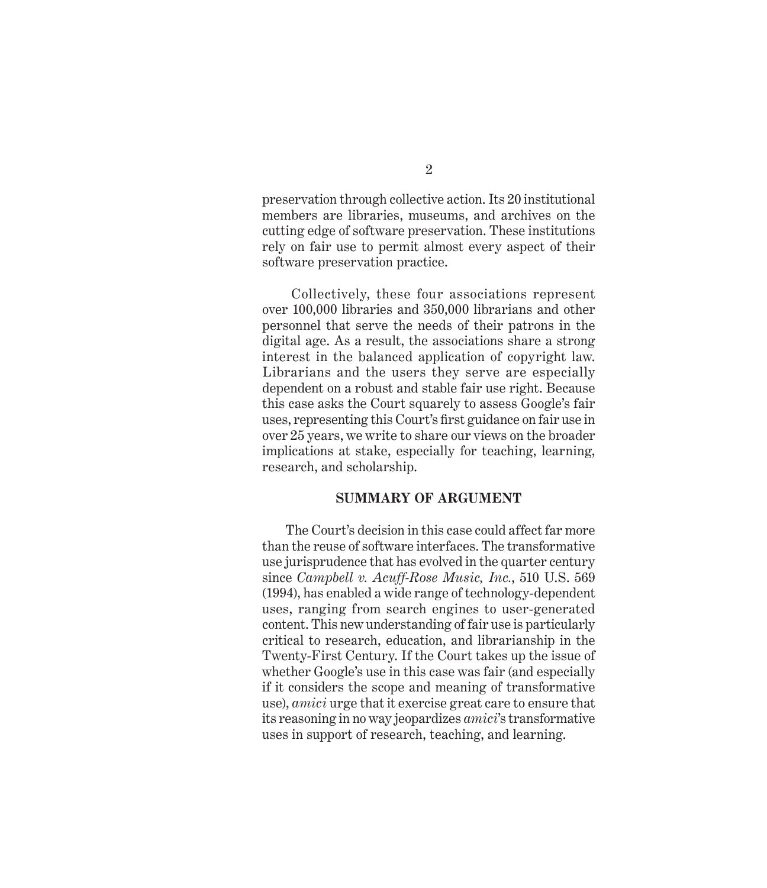preservation through collective action. Its 20 institutional members are libraries, museums, and archives on the cutting edge of software preservation. These institutions rely on fair use to permit almost every aspect of their software preservation practice.

 Collectively, these four associations represent over 100,000 libraries and 350,000 librarians and other personnel that serve the needs of their patrons in the digital age. As a result, the associations share a strong interest in the balanced application of copyright law. Librarians and the users they serve are especially dependent on a robust and stable fair use right. Because this case asks the Court squarely to assess Google's fair uses, representing this Court's first guidance on fair use in over 25 years, we write to share our views on the broader implications at stake, especially for teaching, learning, research, and scholarship.

#### **SUMMARY OF ARGUMENT**

The Court's decision in this case could affect far more than the reuse of software interfaces. The transformative use jurisprudence that has evolved in the quarter century since *Campbell v. Acuff-Rose Music, Inc.*, 510 U.S. 569 (1994), has enabled a wide range of technology-dependent uses, ranging from search engines to user-generated content. This new understanding of fair use is particularly critical to research, education, and librarianship in the Twenty-First Century. If the Court takes up the issue of whether Google's use in this case was fair (and especially if it considers the scope and meaning of transformative use), *amici* urge that it exercise great care to ensure that its reasoning in no way jeopardizes *amici*'s transformative uses in support of research, teaching, and learning.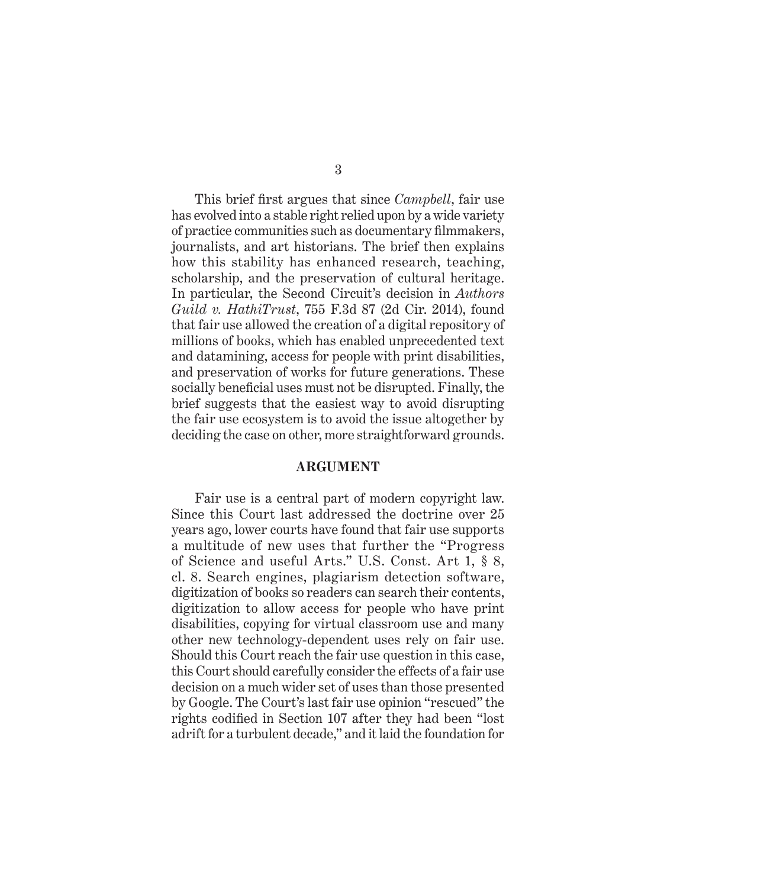This brief first argues that since *Campbell*, fair use has evolved into a stable right relied upon by a wide variety of practice communities such as documentary filmmakers, journalists, and art historians. The brief then explains how this stability has enhanced research, teaching, scholarship, and the preservation of cultural heritage. In particular, the Second Circuit's decision in *Authors Guild v. HathiTrust*, 755 F.3d 87 (2d Cir. 2014), found that fair use allowed the creation of a digital repository of millions of books, which has enabled unprecedented text and datamining, access for people with print disabilities, and preservation of works for future generations. These socially beneficial uses must not be disrupted. Finally, the brief suggests that the easiest way to avoid disrupting the fair use ecosystem is to avoid the issue altogether by deciding the case on other, more straightforward grounds.

#### **ARGUMENT**

Fair use is a central part of modern copyright law. Since this Court last addressed the doctrine over 25 years ago, lower courts have found that fair use supports a multitude of new uses that further the "Progress of Science and useful Arts." U.S. Const. Art 1, § 8, cl. 8. Search engines, plagiarism detection software, digitization of books so readers can search their contents, digitization to allow access for people who have print disabilities, copying for virtual classroom use and many other new technology-dependent uses rely on fair use. Should this Court reach the fair use question in this case, this Court should carefully consider the effects of a fair use decision on a much wider set of uses than those presented by Google. The Court's last fair use opinion "rescued" the rights codified in Section 107 after they had been "lost adrift for a turbulent decade," and it laid the foundation for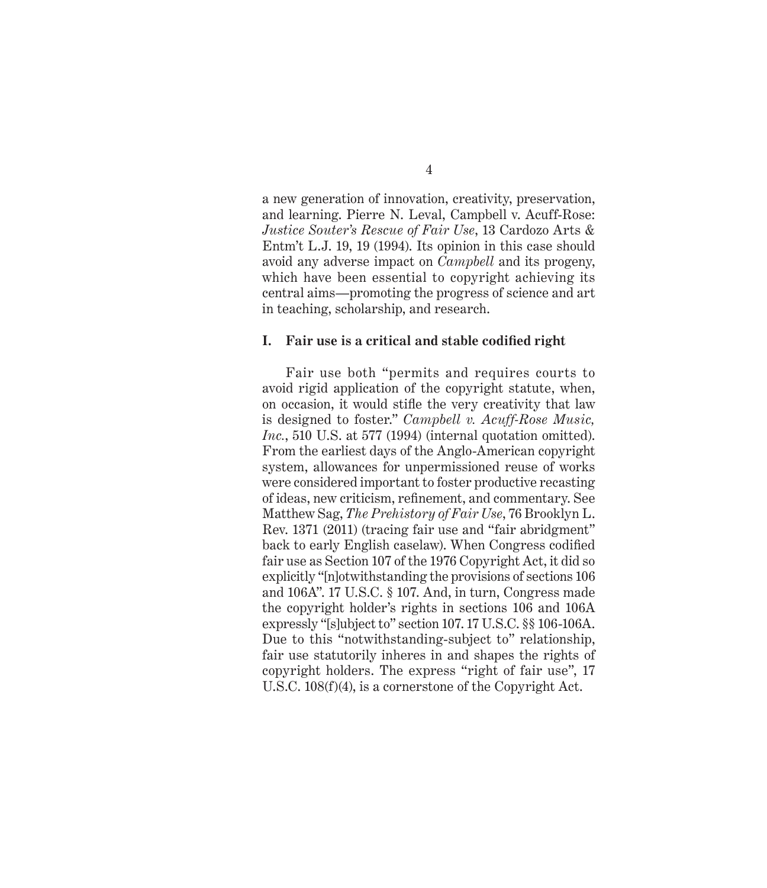a new generation of innovation, creativity, preservation, and learning. Pierre N. Leval, Campbell v. Acuff-Rose: *Justice Souter's Rescue of Fair Use*, 13 Cardozo Arts & Entm't L.J. 19, 19 (1994). Its opinion in this case should avoid any adverse impact on *Campbell* and its progeny, which have been essential to copyright achieving its central aims—promoting the progress of science and art in teaching, scholarship, and research.

#### **I. Fair use is a critical and stable codified right**

Fair use both "permits and requires courts to avoid rigid application of the copyright statute, when, on occasion, it would stifle the very creativity that law is designed to foster." *Campbell v. Acuff-Rose Music, Inc.*, 510 U.S. at 577 (1994) (internal quotation omitted). From the earliest days of the Anglo-American copyright system, allowances for unpermissioned reuse of works were considered important to foster productive recasting of ideas, new criticism, refinement, and commentary. See Matthew Sag, *The Prehistory of Fair Use*, 76 Brooklyn L. Rev. 1371 (2011) (tracing fair use and "fair abridgment" back to early English caselaw). When Congress codified fair use as Section 107 of the 1976 Copyright Act, it did so explicitly "[n]otwithstanding the provisions of sections 106 and 106A". 17 U.S.C. § 107. And, in turn, Congress made the copyright holder's rights in sections 106 and 106A expressly "[s]ubject to" section 107. 17 U.S.C. §§ 106-106A. Due to this "notwithstanding-subject to" relationship, fair use statutorily inheres in and shapes the rights of copyright holders. The express "right of fair use", 17 U.S.C. 108(f)(4), is a cornerstone of the Copyright Act.

4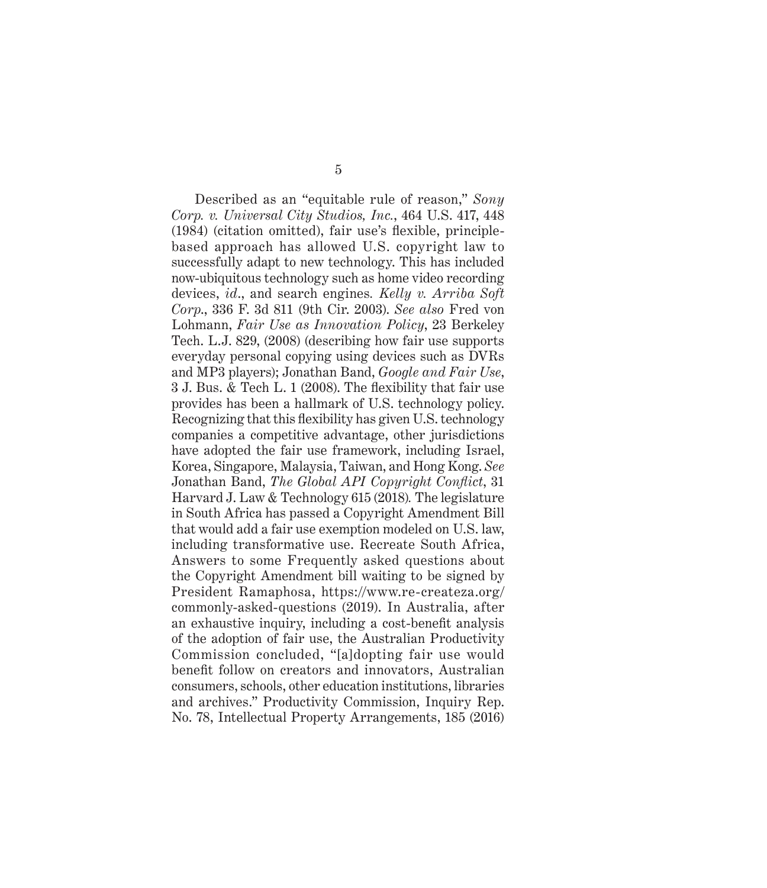Described as an "equitable rule of reason," *Sony Corp. v. Universal City Studios, Inc.*, 464 U.S. 417, 448 (1984) (citation omitted), fair use's flexible, principlebased approach has allowed U.S. copyright law to successfully adapt to new technology. This has included now-ubiquitous technology such as home video recording devices, *id*., and search engines*. Kelly v. Arriba Soft Corp*., 336 F. 3d 811 (9th Cir. 2003). *See also* Fred von Lohmann, *Fair Use as Innovation Policy*, 23 Berkeley Tech. L.J. 829, (2008) (describing how fair use supports everyday personal copying using devices such as DVRs and MP3 players); Jonathan Band, *Google and Fair Use*, 3 J. Bus. & Tech L. 1 (2008). The flexibility that fair use provides has been a hallmark of U.S. technology policy. Recognizing that this flexibility has given U.S. technology companies a competitive advantage, other jurisdictions have adopted the fair use framework, including Israel, Korea, Singapore, Malaysia, Taiwan, and Hong Kong. *See*  Jonathan Band, *The Global API Copyright Conflict*, 31 Harvard J. Law & Technology 615 (2018)*.* The legislature in South Africa has passed a Copyright Amendment Bill that would add a fair use exemption modeled on U.S. law, including transformative use. Recreate South Africa, Answers to some Frequently asked questions about the Copyright Amendment bill waiting to be signed by President Ramaphosa, https://www.re-createza.org/ commonly-asked-questions (2019). In Australia, after an exhaustive inquiry, including a cost-benefit analysis of the adoption of fair use, the Australian Productivity Commission concluded, "[a]dopting fair use would benefit follow on creators and innovators, Australian consumers, schools, other education institutions, libraries and archives." Productivity Commission, Inquiry Rep. No. 78, Intellectual Property Arrangements, 185 (2016)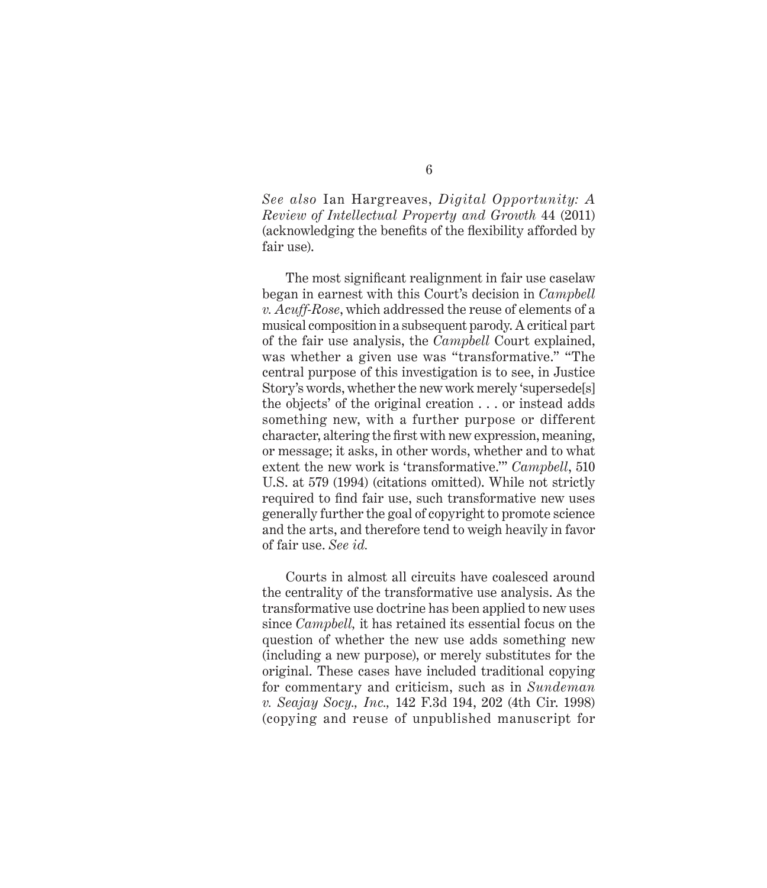*See also* Ian Hargreaves, *Digital Opportunity: A Review of Intellectual Property and Growth* 44 (2011) (acknowledging the benefits of the flexibility afforded by fair use).

The most significant realignment in fair use caselaw began in earnest with this Court's decision in *Campbell v. Acuff-Rose*, which addressed the reuse of elements of a musical composition in a subsequent parody. A critical part of the fair use analysis, the *Campbell* Court explained, was whether a given use was "transformative." "The central purpose of this investigation is to see, in Justice Story's words, whether the new work merely 'supersede[s] the objects' of the original creation . . . or instead adds something new, with a further purpose or different character, altering the first with new expression, meaning, or message; it asks, in other words, whether and to what extent the new work is 'transformative.'" *Campbell*, 510 U.S. at 579 (1994) (citations omitted). While not strictly required to find fair use, such transformative new uses generally further the goal of copyright to promote science and the arts, and therefore tend to weigh heavily in favor of fair use. *See id.* 

Courts in almost all circuits have coalesced around the centrality of the transformative use analysis. As the transformative use doctrine has been applied to new uses since *Campbell,* it has retained its essential focus on the question of whether the new use adds something new (including a new purpose), or merely substitutes for the original. These cases have included traditional copying for commentary and criticism, such as in *Sundeman v. Seajay Socy., Inc.,* 142 F.3d 194, 202 (4th Cir. 1998) (copying and reuse of unpublished manuscript for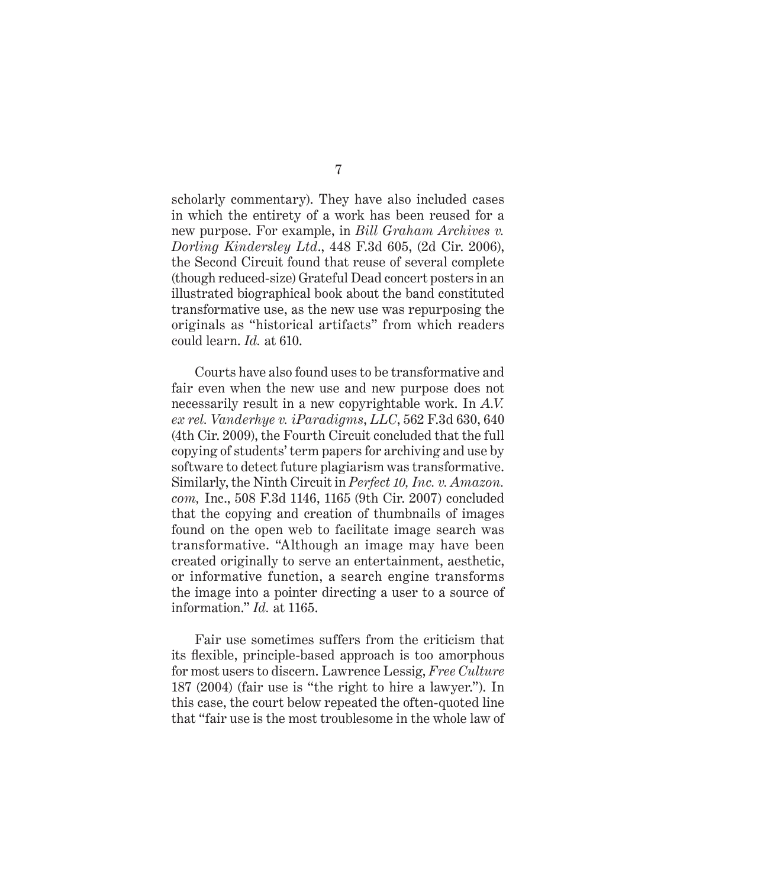scholarly commentary). They have also included cases in which the entirety of a work has been reused for a new purpose. For example, in *Bill Graham Archives v. Dorling Kindersley Ltd*., 448 F.3d 605, (2d Cir. 2006), the Second Circuit found that reuse of several complete (though reduced-size) Grateful Dead concert posters in an illustrated biographical book about the band constituted transformative use, as the new use was repurposing the originals as "historical artifacts" from which readers could learn. *Id.* at 610.

Courts have also found uses to be transformative and fair even when the new use and new purpose does not necessarily result in a new copyrightable work. In *A.V. ex rel. Vanderhye v. iParadigms*, *LLC*, 562 F.3d 630, 640 (4th Cir. 2009), the Fourth Circuit concluded that the full copying of students' term papers for archiving and use by software to detect future plagiarism was transformative. Similarly, the Ninth Circuit in *Perfect 10, Inc. v. Amazon. com,* Inc., 508 F.3d 1146, 1165 (9th Cir. 2007) concluded that the copying and creation of thumbnails of images found on the open web to facilitate image search was transformative. "Although an image may have been created originally to serve an entertainment, aesthetic, or informative function, a search engine transforms the image into a pointer directing a user to a source of information." *Id.* at 1165.

Fair use sometimes suffers from the criticism that its flexible, principle-based approach is too amorphous for most users to discern. Lawrence Lessig, *Free Culture* 187 (2004) (fair use is "the right to hire a lawyer."). In this case, the court below repeated the often-quoted line that "fair use is the most troublesome in the whole law of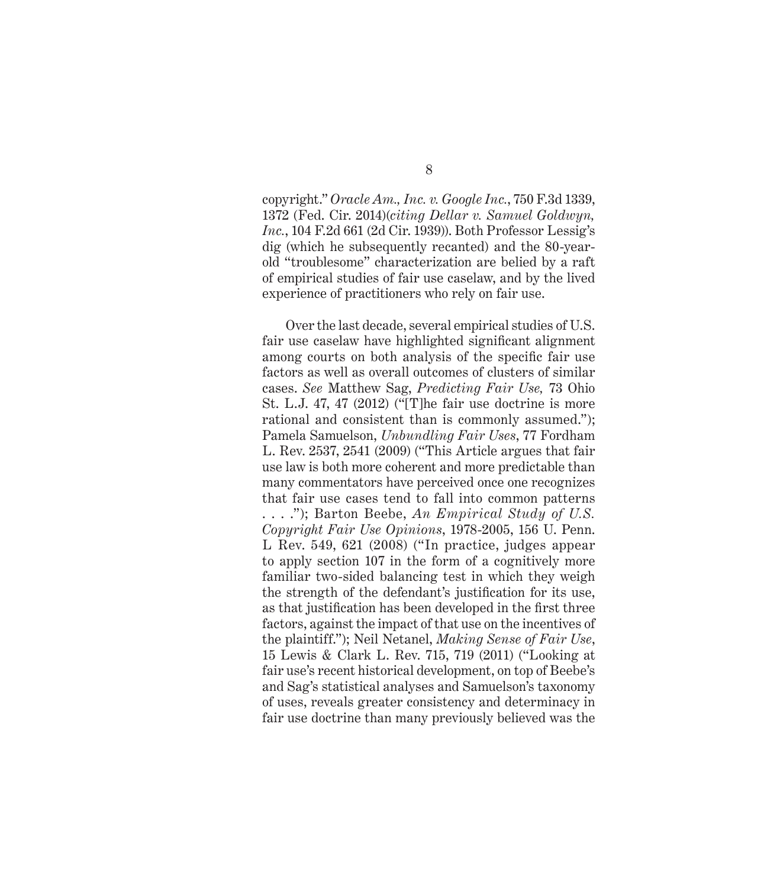copyright." *Oracle Am., Inc. v. Google Inc.*, 750 F.3d 1339, 1372 (Fed. Cir. 2014)(*citing Dellar v. Samuel Goldwyn, Inc.*, 104 F.2d 661 (2d Cir. 1939)). Both Professor Lessig's dig (which he subsequently recanted) and the 80-yearold "troublesome" characterization are belied by a raft of empirical studies of fair use caselaw, and by the lived experience of practitioners who rely on fair use.

Over the last decade, several empirical studies of U.S. fair use caselaw have highlighted significant alignment among courts on both analysis of the specific fair use factors as well as overall outcomes of clusters of similar cases. *See* Matthew Sag, *Predicting Fair Use,* 73 Ohio St. L.J. 47, 47 (2012) ("[T]he fair use doctrine is more rational and consistent than is commonly assumed."); Pamela Samuelson, *Unbundling Fair Uses*, 77 Fordham L. Rev. 2537, 2541 (2009) ("This Article argues that fair use law is both more coherent and more predictable than many commentators have perceived once one recognizes that fair use cases tend to fall into common patterns . . . ."); Barton Beebe, *An Empirical Study of U.S. Copyright Fair Use Opinions*, 1978-2005, 156 U. Penn. L Rev. 549, 621 (2008) ("In practice, judges appear to apply section 107 in the form of a cognitively more familiar two-sided balancing test in which they weigh the strength of the defendant's justification for its use, as that justification has been developed in the first three factors, against the impact of that use on the incentives of the plaintiff."); Neil Netanel, *Making Sense of Fair Use*, 15 Lewis & Clark L. Rev. 715, 719 (2011) ("Looking at fair use's recent historical development, on top of Beebe's and Sag's statistical analyses and Samuelson's taxonomy of uses, reveals greater consistency and determinacy in fair use doctrine than many previously believed was the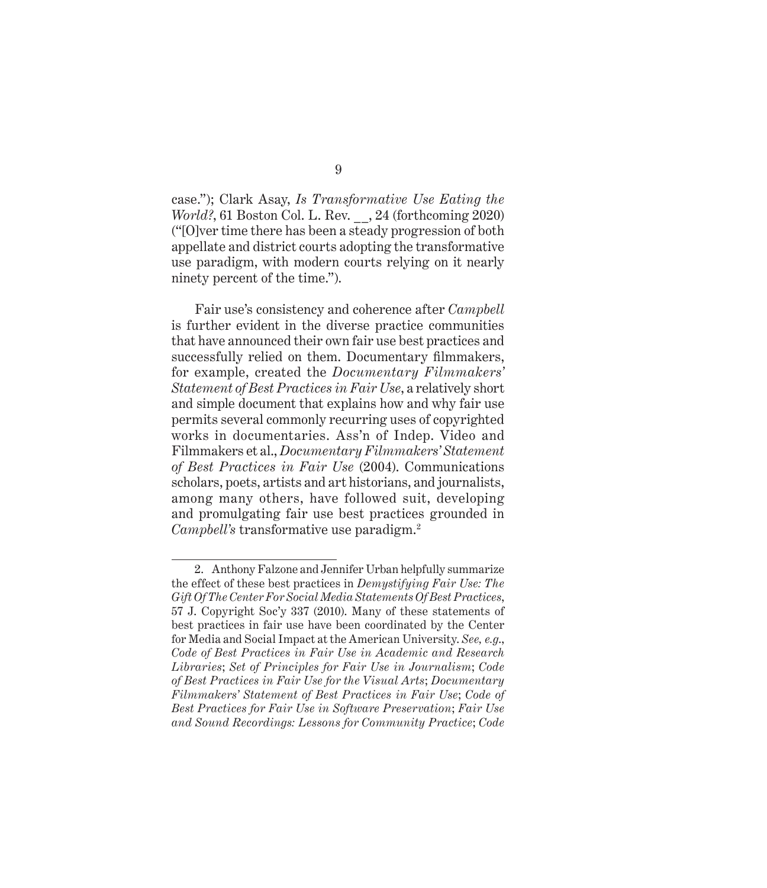case."); Clark Asay, *Is Transformative Use Eating the World?*, 61 Boston Col. L. Rev. \_\_, 24 (forthcoming 2020) ("[O]ver time there has been a steady progression of both appellate and district courts adopting the transformative use paradigm, with modern courts relying on it nearly ninety percent of the time.").

Fair use's consistency and coherence after *Campbell*  is further evident in the diverse practice communities that have announced their own fair use best practices and successfully relied on them. Documentary filmmakers, for example, created the *Documentary Filmmakers' Statement of Best Practices in Fair Use*, a relatively short and simple document that explains how and why fair use permits several commonly recurring uses of copyrighted works in documentaries. Ass'n of Indep. Video and Filmmakers et al., *Documentary Filmmakers' Statement of Best Practices in Fair Use* (2004). Communications scholars, poets, artists and art historians, and journalists, among many others, have followed suit, developing and promulgating fair use best practices grounded in *Campbell's* transformative use paradigm.2

<sup>2.</sup> Anthony Falzone and Jennifer Urban helpfully summarize the effect of these best practices in *Demystifying Fair Use: The Gift Of The Center For Social Media Statements Of Best Practices*, 57 J. Copyright Soc'y 337 (2010). Many of these statements of best practices in fair use have been coordinated by the Center for Media and Social Impact at the American University. *See, e.g*., *Code of Best Practices in Fair Use in Academic and Research Libraries*; *Set of Principles for Fair Use in Journalism*; *Code of Best Practices in Fair Use for the Visual Arts*; *Documentary Filmmakers' Statement of Best Practices in Fair Use*; *Code of Best Practices for Fair Use in Software Preservation*; *Fair Use and Sound Recordings: Lessons for Community Practice*; *Code*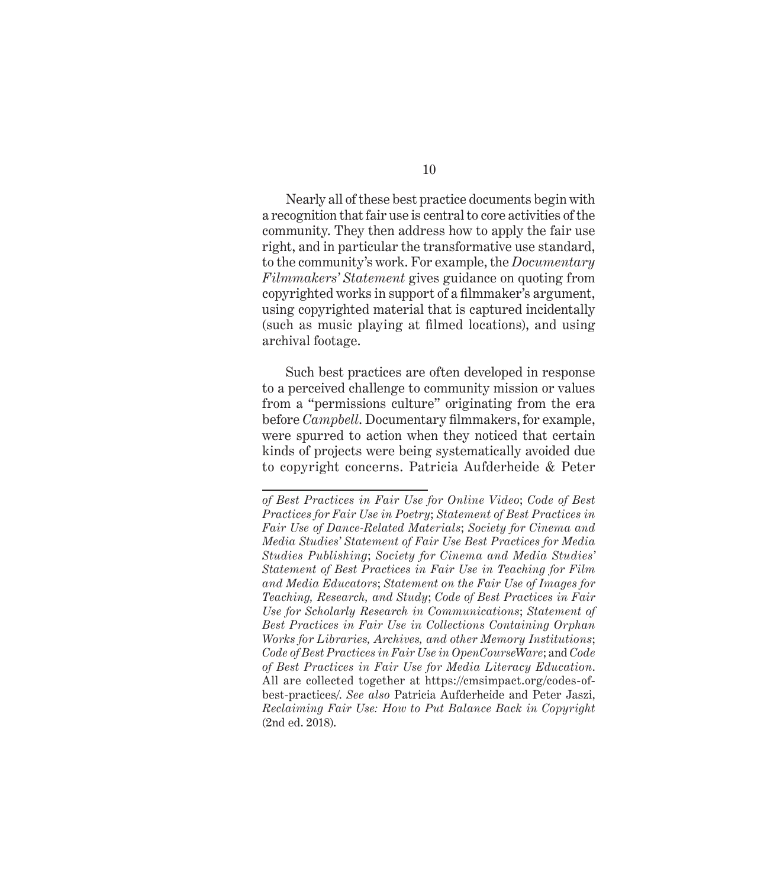Nearly all of these best practice documents begin with a recognition that fair use is central to core activities of the community. They then address how to apply the fair use right, and in particular the transformative use standard, to the community's work. For example, the *Documentary Filmmakers' Statement* gives guidance on quoting from copyrighted works in support of a filmmaker's argument, using copyrighted material that is captured incidentally (such as music playing at filmed locations), and using archival footage.

Such best practices are often developed in response to a perceived challenge to community mission or values from a "permissions culture" originating from the era before *Campbell*. Documentary filmmakers, for example, were spurred to action when they noticed that certain kinds of projects were being systematically avoided due to copyright concerns. Patricia Aufderheide & Peter

*of Best Practices in Fair Use for Online Video*; *Code of Best Practices for Fair Use in Poetry*; *Statement of Best Practices in Fair Use of Dance-Related Materials*; *Society for Cinema and Media Studies' Statement of Fair Use Best Practices for Media Studies Publishing*; *Society for Cinema and Media Studies' Statement of Best Practices in Fair Use in Teaching for Film and Media Educators*; *Statement on the Fair Use of Images for Teaching, Research, and Study*; *Code of Best Practices in Fair Use for Scholarly Research in Communications*; *Statement of Best Practices in Fair Use in Collections Containing Orphan Works for Libraries, Archives, and other Memory Institutions*; *Code of Best Practices in Fair Use in OpenCourseWare*; and *Code of Best Practices in Fair Use for Media Literacy Education*. All are collected together at https://cmsimpact.org/codes-ofbest-practices/. *See also* Patricia Aufderheide and Peter Jaszi, *Reclaiming Fair Use: How to Put Balance Back in Copyright* (2nd ed. 2018).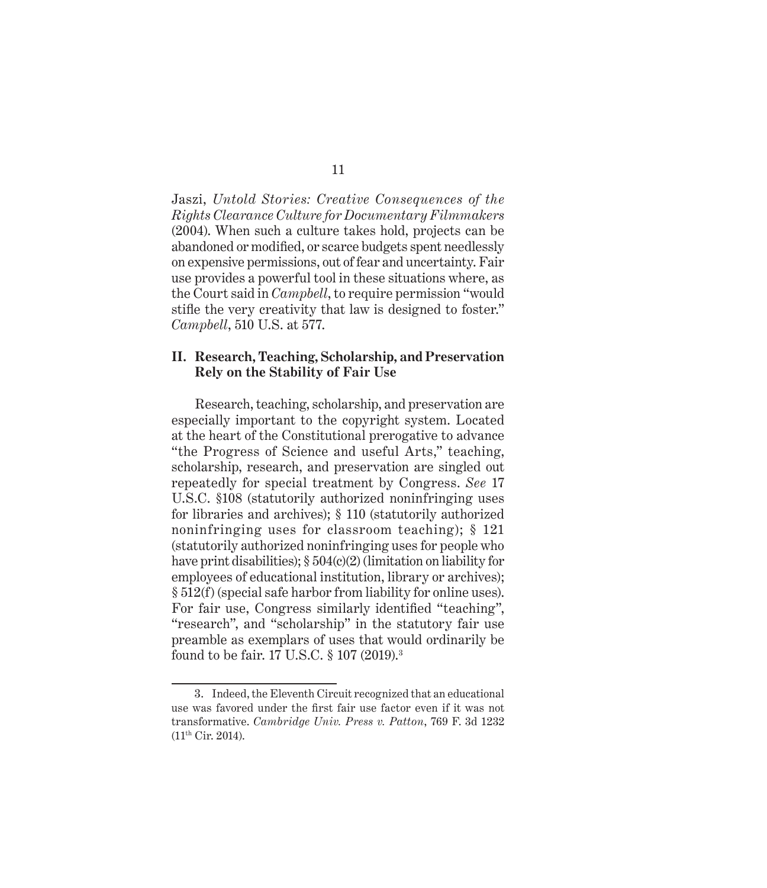Jaszi, *Untold Stories: Creative Consequences of the Rights Clearance Culture for Documentary Filmmakers* (2004). When such a culture takes hold, projects can be abandoned or modified, or scarce budgets spent needlessly on expensive permissions, out of fear and uncertainty. Fair use provides a powerful tool in these situations where, as the Court said in *Campbell*, to require permission "would stifle the very creativity that law is designed to foster." *Campbell*, 510 U.S. at 577.

### **II. Research, Teaching, Scholarship, and Preservation Rely on the Stability of Fair Use**

Research, teaching, scholarship, and preservation are especially important to the copyright system. Located at the heart of the Constitutional prerogative to advance "the Progress of Science and useful Arts," teaching, scholarship, research, and preservation are singled out repeatedly for special treatment by Congress. *See* 17 U.S.C. §108 (statutorily authorized noninfringing uses for libraries and archives); § 110 (statutorily authorized noninfringing uses for classroom teaching); § 121 (statutorily authorized noninfringing uses for people who have print disabilities); § 504(c)(2) (limitation on liability for employees of educational institution, library or archives); § 512(f) (special safe harbor from liability for online uses). For fair use, Congress similarly identified "teaching", "research", and "scholarship" in the statutory fair use preamble as exemplars of uses that would ordinarily be found to be fair. 17 U.S.C. § 107 (2019).3

11

<sup>3.</sup> Indeed, the Eleventh Circuit recognized that an educational use was favored under the first fair use factor even if it was not transformative. *Cambridge Univ. Press v. Patton*, 769 F. 3d 1232 (11th Cir. 2014).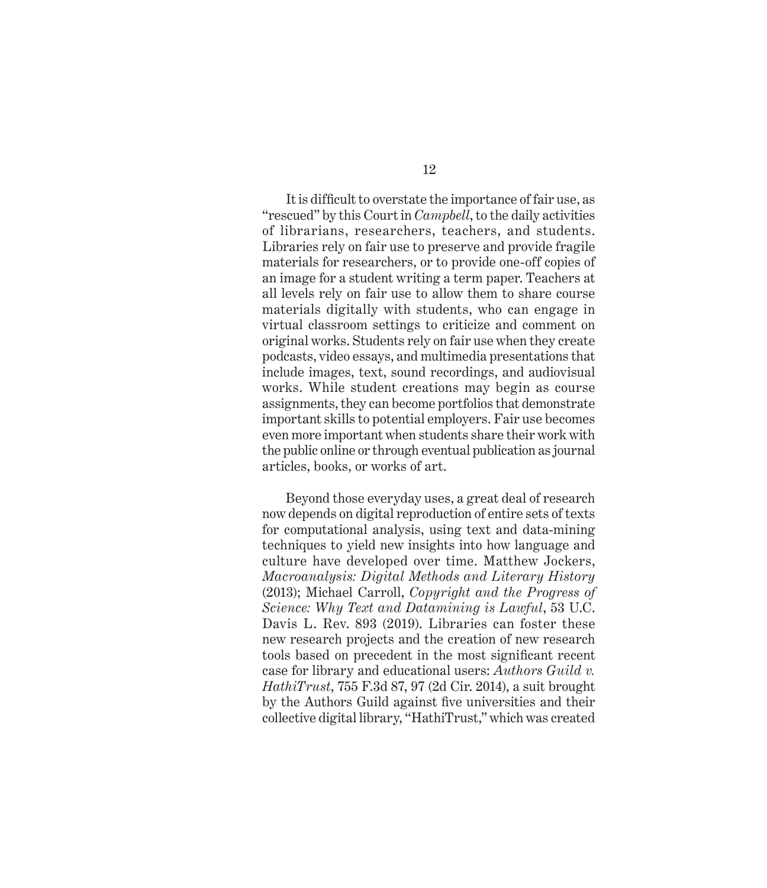It is difficult to overstate the importance of fair use, as "rescued" by this Court in *Campbell*, to the daily activities of librarians, researchers, teachers, and students. Libraries rely on fair use to preserve and provide fragile materials for researchers, or to provide one-off copies of an image for a student writing a term paper. Teachers at all levels rely on fair use to allow them to share course materials digitally with students, who can engage in virtual classroom settings to criticize and comment on original works. Students rely on fair use when they create podcasts, video essays, and multimedia presentations that include images, text, sound recordings, and audiovisual works. While student creations may begin as course assignments, they can become portfolios that demonstrate important skills to potential employers. Fair use becomes even more important when students share their work with the public online or through eventual publication as journal articles, books, or works of art.

Beyond those everyday uses, a great deal of research now depends on digital reproduction of entire sets of texts for computational analysis, using text and data-mining techniques to yield new insights into how language and culture have developed over time. Matthew Jockers, *Macroanalysis: Digital Methods and Literary History*  (2013); Michael Carroll, *Copyright and the Progress of Science: Why Text and Datamining is Lawful*, 53 U.C. Davis L. Rev. 893 (2019). Libraries can foster these new research projects and the creation of new research tools based on precedent in the most significant recent case for library and educational users: *Authors Guild v. HathiTrust*, 755 F.3d 87, 97 (2d Cir. 2014), a suit brought by the Authors Guild against five universities and their collective digital library, "HathiTrust," which was created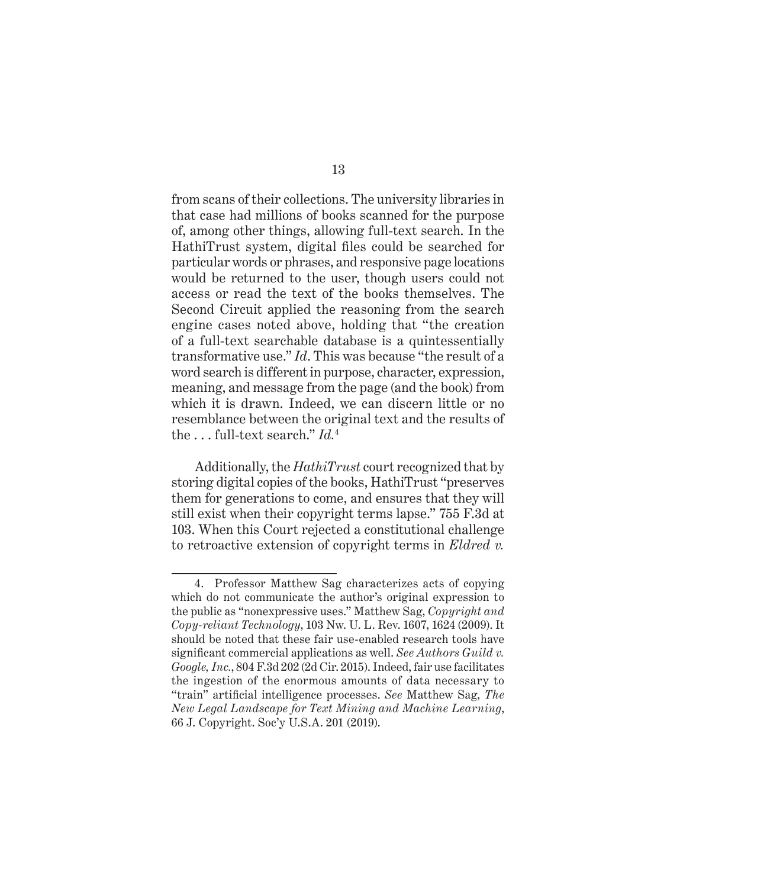from scans of their collections. The university libraries in that case had millions of books scanned for the purpose of, among other things, allowing full-text search. In the HathiTrust system, digital files could be searched for particular words or phrases, and responsive page locations would be returned to the user, though users could not access or read the text of the books themselves. The Second Circuit applied the reasoning from the search engine cases noted above, holding that "the creation of a full-text searchable database is a quintessentially transformative use." *Id*. This was because "the result of a word search is different in purpose, character, expression, meaning, and message from the page (and the book) from which it is drawn. Indeed, we can discern little or no resemblance between the original text and the results of the . . . full-text search." *Id.*<sup>4</sup>

Additionally, the *HathiTrust* court recognized that by storing digital copies of the books, HathiTrust "preserves them for generations to come, and ensures that they will still exist when their copyright terms lapse." 755 F.3d at 103. When this Court rejected a constitutional challenge to retroactive extension of copyright terms in *Eldred v.* 

<sup>4.</sup> Professor Matthew Sag characterizes acts of copying which do not communicate the author's original expression to the public as "nonexpressive uses." Matthew Sag, *Copyright and Copy-reliant Technology*, 103 Nw. U. L. Rev. 1607, 1624 (2009). It should be noted that these fair use-enabled research tools have significant commercial applications as well. *See Authors Guild v. Google, Inc.*, 804 F.3d 202 (2d Cir. 2015). Indeed, fair use facilitates the ingestion of the enormous amounts of data necessary to "train" artificial intelligence processes. *See* Matthew Sag, *The New Legal Landscape for Text Mining and Machine Learning*, 66 J. Copyright. Soc'y U.S.A. 201 (2019).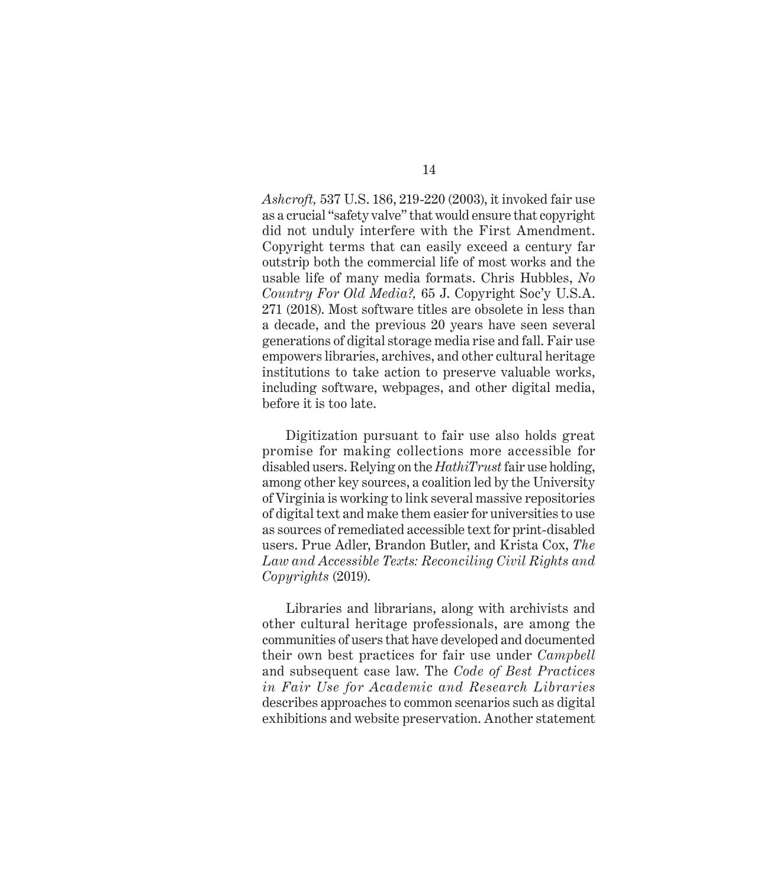*Ashcroft,* 537 U.S. 186, 219-220 (2003), it invoked fair use as a crucial "safety valve" that would ensure that copyright did not unduly interfere with the First Amendment. Copyright terms that can easily exceed a century far outstrip both the commercial life of most works and the usable life of many media formats. Chris Hubbles, *No Country For Old Media?,* 65 J. Copyright Soc'y U.S.A. 271 (2018). Most software titles are obsolete in less than a decade, and the previous 20 years have seen several generations of digital storage media rise and fall. Fair use empowers libraries, archives, and other cultural heritage institutions to take action to preserve valuable works, including software, webpages, and other digital media, before it is too late.

Digitization pursuant to fair use also holds great promise for making collections more accessible for disabled users. Relying on the *HathiTrust* fair use holding, among other key sources, a coalition led by the University of Virginia is working to link several massive repositories of digital text and make them easier for universities to use as sources of remediated accessible text for print-disabled users. Prue Adler, Brandon Butler, and Krista Cox, *The Law and Accessible Texts: Reconciling Civil Rights and Copyrights* (2019).

Libraries and librarians, along with archivists and other cultural heritage professionals, are among the communities of users that have developed and documented their own best practices for fair use under *Campbell* and subsequent case law. The *Code of Best Practices in Fair Use for Academic and Research Libraries* describes approaches to common scenarios such as digital exhibitions and website preservation. Another statement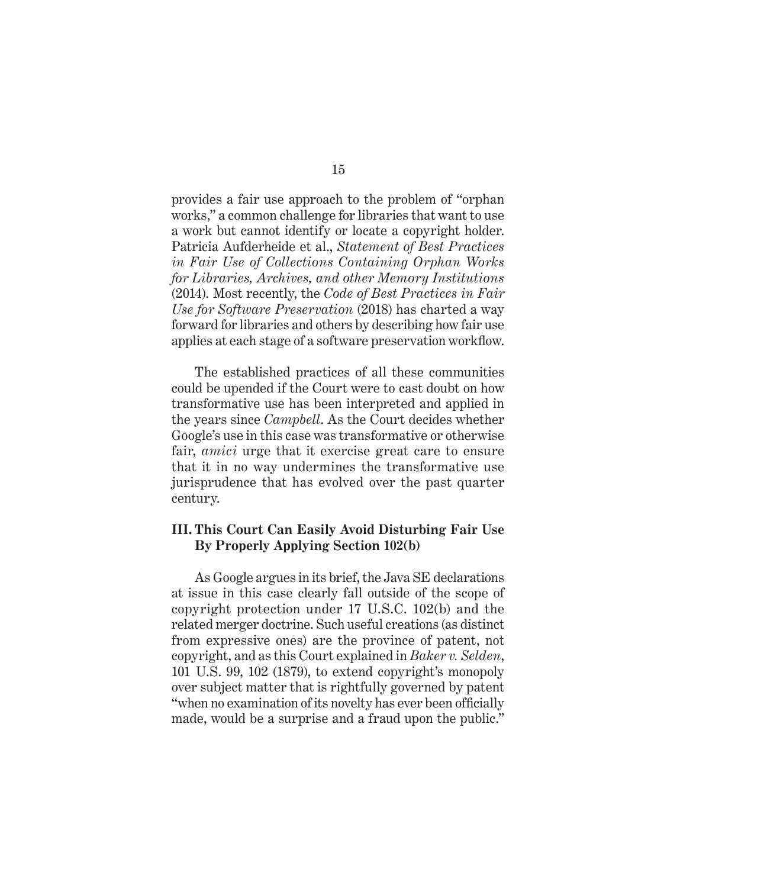provides a fair use approach to the problem of "orphan works," a common challenge for libraries that want to use a work but cannot identify or locate a copyright holder. Patricia Aufderheide et al., *Statement of Best Practices in Fair Use of Collections Containing Orphan Works for Libraries, Archives, and other Memory Institutions* (2014). Most recently, the *Code of Best Practices in Fair Use for Software Preservation* (2018) has charted a way forward for libraries and others by describing how fair use applies at each stage of a software preservation workflow.

The established practices of all these communities could be upended if the Court were to cast doubt on how transformative use has been interpreted and applied in the years since *Campbell*. As the Court decides whether Google's use in this case was transformative or otherwise fair, *amici* urge that it exercise great care to ensure that it in no way undermines the transformative use jurisprudence that has evolved over the past quarter century.

### **III. This Court Can Easily Avoid Disturbing Fair Use By Properly Applying Section 102(b)**

As Google argues in its brief, the Java SE declarations at issue in this case clearly fall outside of the scope of copyright protection under 17 U.S.C. 102(b) and the related merger doctrine. Such useful creations (as distinct from expressive ones) are the province of patent, not copyright, and as this Court explained in *Baker v. Selden*, 101 U.S. 99, 102 (1879), to extend copyright's monopoly over subject matter that is rightfully governed by patent "when no examination of its novelty has ever been officially made, would be a surprise and a fraud upon the public."